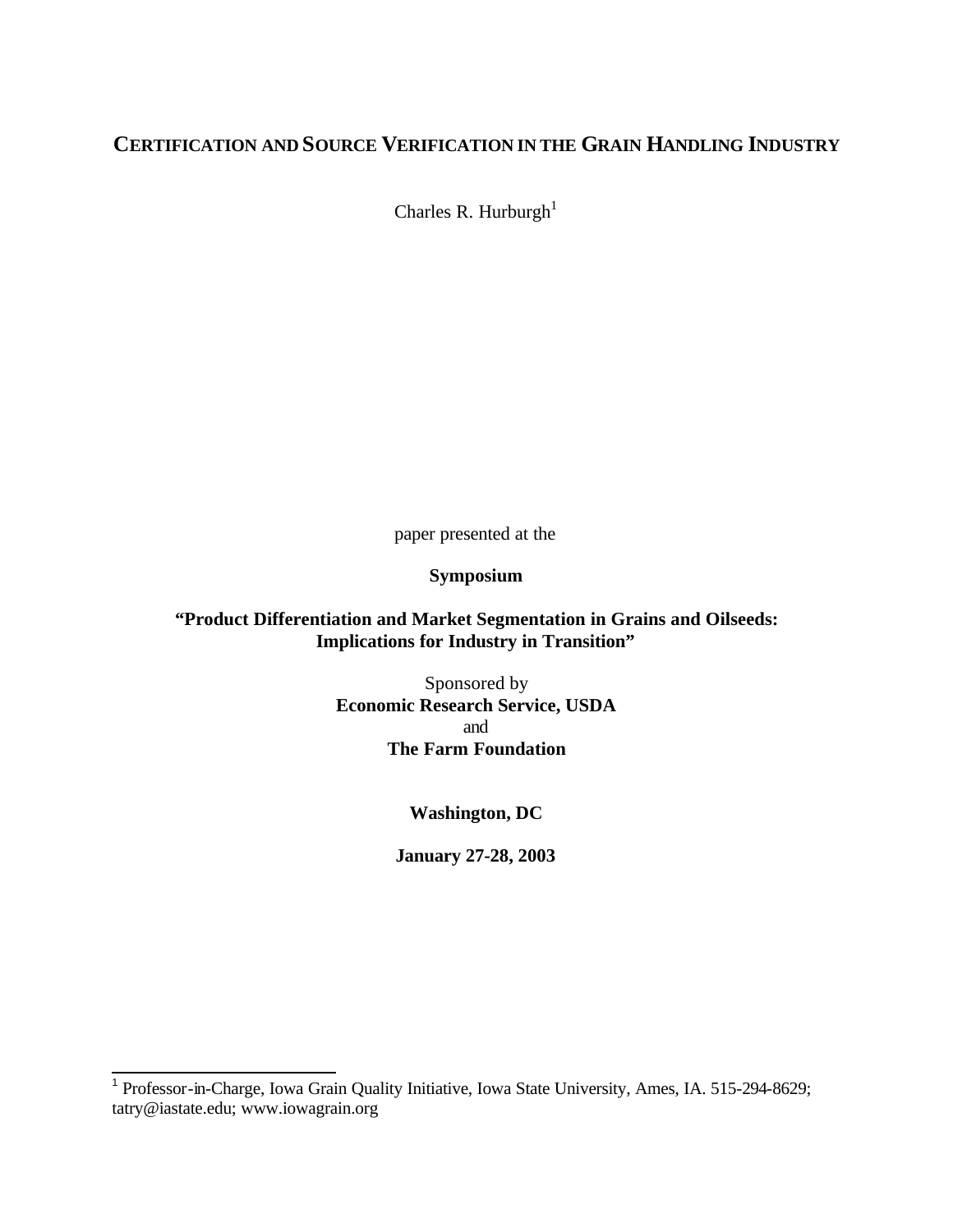# **CERTIFICATION AND SOURCE VERIFICATION IN THE GRAIN HANDLING INDUSTRY**

Charles R. Hurburgh<sup>1</sup>

paper presented at the

## **Symposium**

# **"Product Differentiation and Market Segmentation in Grains and Oilseeds: Implications for Industry in Transition"**

Sponsored by **Economic Research Service, USDA** and **The Farm Foundation**

**Washington, DC**

**January 27-28, 2003**

 1 Professor-in-Charge, Iowa Grain Quality Initiative, Iowa State University, Ames, IA. 515-294-8629; tatry@iastate.edu; www.iowagrain.org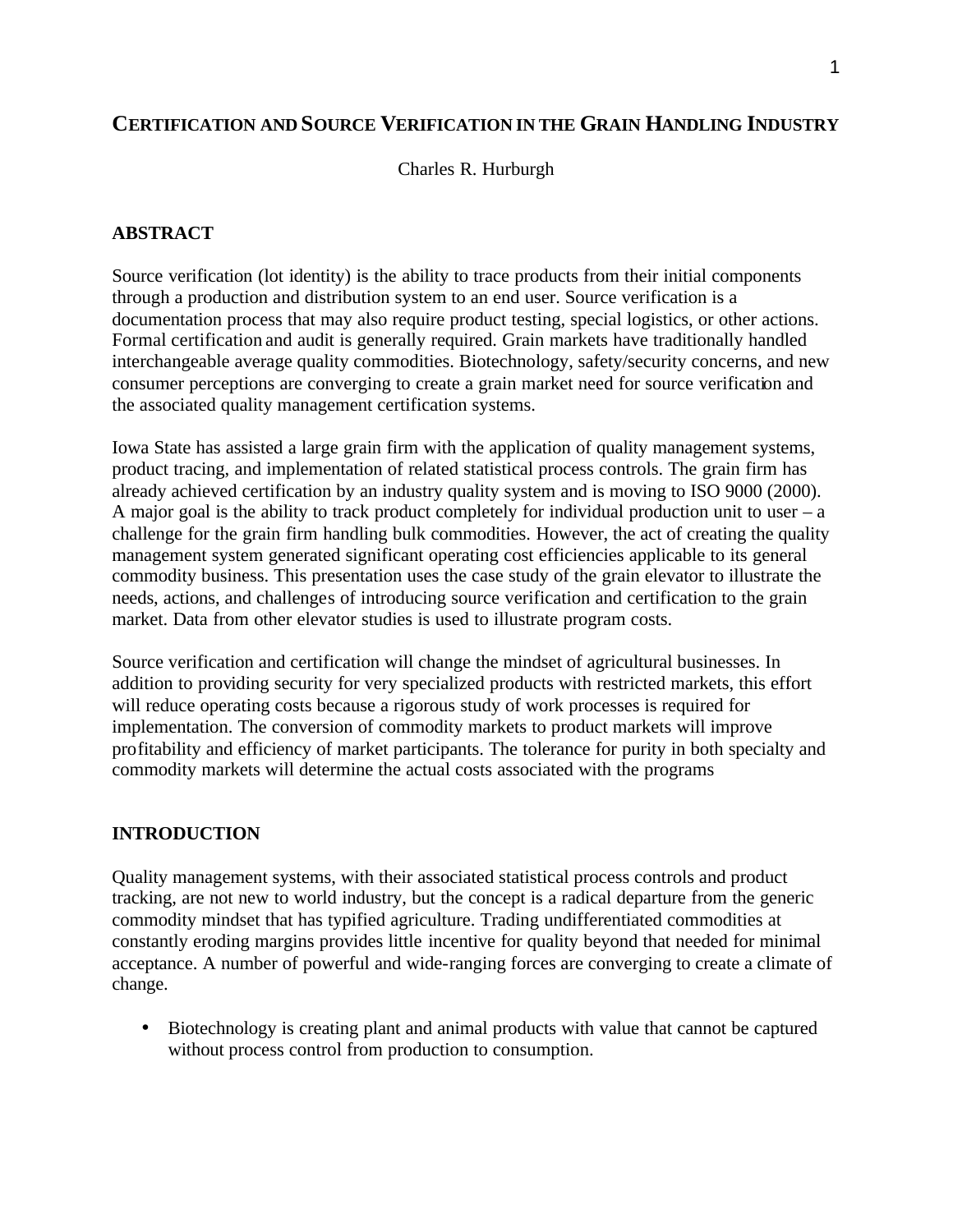# **CERTIFICATION AND SOURCE VERIFICATION IN THE GRAIN HANDLING INDUSTRY**

#### Charles R. Hurburgh

#### **ABSTRACT**

Source verification (lot identity) is the ability to trace products from their initial components through a production and distribution system to an end user. Source verification is a documentation process that may also require product testing, special logistics, or other actions. Formal certification and audit is generally required. Grain markets have traditionally handled interchangeable average quality commodities. Biotechnology, safety/security concerns, and new consumer perceptions are converging to create a grain market need for source verification and the associated quality management certification systems.

Iowa State has assisted a large grain firm with the application of quality management systems, product tracing, and implementation of related statistical process controls. The grain firm has already achieved certification by an industry quality system and is moving to ISO 9000 (2000). A major goal is the ability to track product completely for individual production unit to user  $-$  a challenge for the grain firm handling bulk commodities. However, the act of creating the quality management system generated significant operating cost efficiencies applicable to its general commodity business. This presentation uses the case study of the grain elevator to illustrate the needs, actions, and challenges of introducing source verification and certification to the grain market. Data from other elevator studies is used to illustrate program costs.

Source verification and certification will change the mindset of agricultural businesses. In addition to providing security for very specialized products with restricted markets, this effort will reduce operating costs because a rigorous study of work processes is required for implementation. The conversion of commodity markets to product markets will improve profitability and efficiency of market participants. The tolerance for purity in both specialty and commodity markets will determine the actual costs associated with the programs

#### **INTRODUCTION**

Quality management systems, with their associated statistical process controls and product tracking, are not new to world industry, but the concept is a radical departure from the generic commodity mindset that has typified agriculture. Trading undifferentiated commodities at constantly eroding margins provides little incentive for quality beyond that needed for minimal acceptance. A number of powerful and wide-ranging forces are converging to create a climate of change.

• Biotechnology is creating plant and animal products with value that cannot be captured without process control from production to consumption.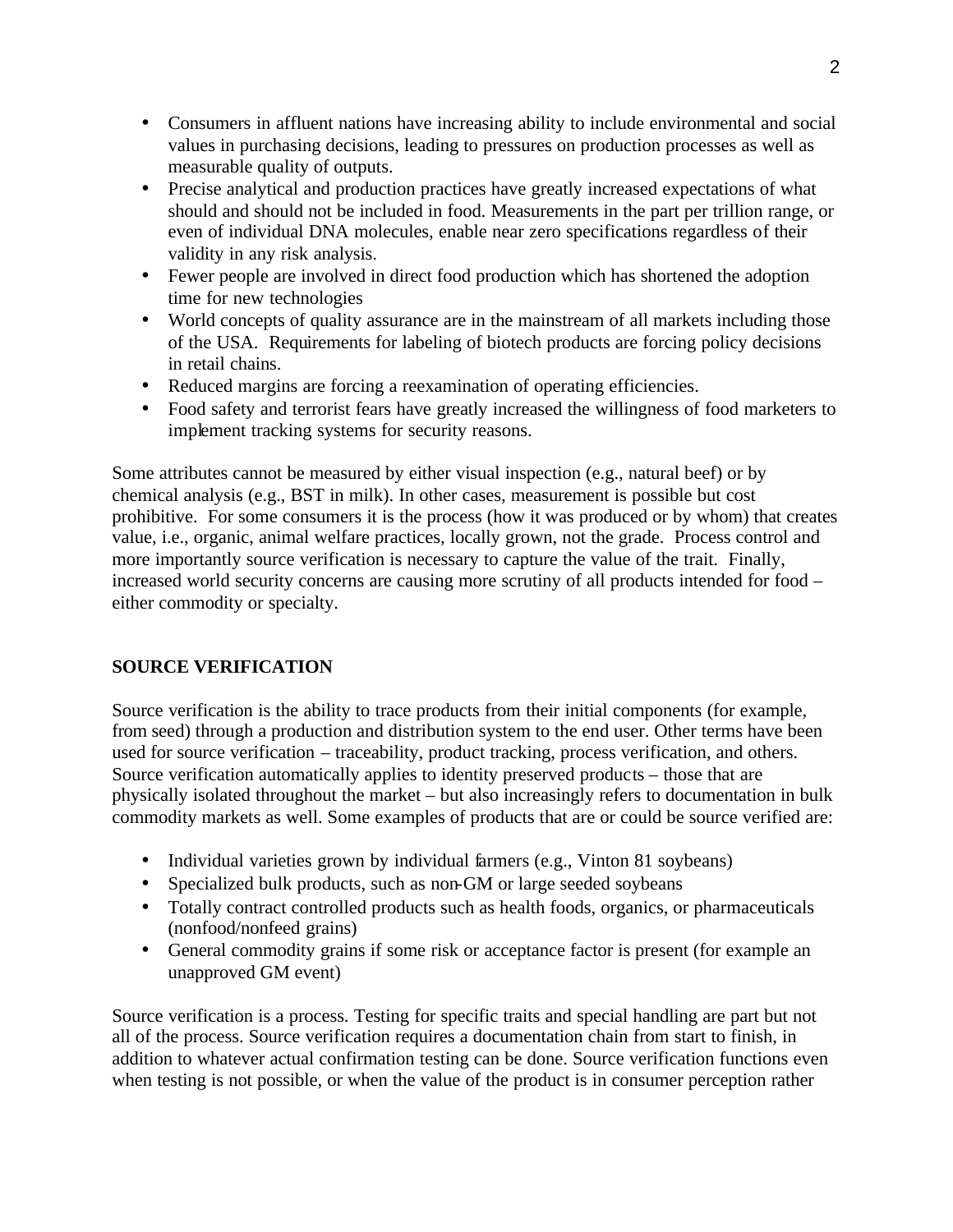- Consumers in affluent nations have increasing ability to include environmental and social values in purchasing decisions, leading to pressures on production processes as well as measurable quality of outputs.
- Precise analytical and production practices have greatly increased expectations of what should and should not be included in food. Measurements in the part per trillion range, or even of individual DNA molecules, enable near zero specifications regardless of their validity in any risk analysis.
- Fewer people are involved in direct food production which has shortened the adoption time for new technologies
- World concepts of quality assurance are in the mainstream of all markets including those of the USA. Requirements for labeling of biotech products are forcing policy decisions in retail chains.
- Reduced margins are forcing a reexamination of operating efficiencies.
- Food safety and terrorist fears have greatly increased the willingness of food marketers to implement tracking systems for security reasons.

Some attributes cannot be measured by either visual inspection (e.g., natural beef) or by chemical analysis (e.g., BST in milk). In other cases, measurement is possible but cost prohibitive. For some consumers it is the process (how it was produced or by whom) that creates value, i.e., organic, animal welfare practices, locally grown, not the grade. Process control and more importantly source verification is necessary to capture the value of the trait. Finally, increased world security concerns are causing more scrutiny of all products intended for food – either commodity or specialty.

# **SOURCE VERIFICATION**

Source verification is the ability to trace products from their initial components (for example, from seed) through a production and distribution system to the end user. Other terms have been used for source verification – traceability, product tracking, process verification, and others. Source verification automatically applies to identity preserved products – those that are physically isolated throughout the market – but also increasingly refers to documentation in bulk commodity markets as well. Some examples of products that are or could be source verified are:

- Individual varieties grown by individual farmers (e.g., Vinton 81 soybeans)
- Specialized bulk products, such as non-GM or large seeded soybeans
- Totally contract controlled products such as health foods, organics, or pharmaceuticals (nonfood/nonfeed grains)
- General commodity grains if some risk or acceptance factor is present (for example an unapproved GM event)

Source verification is a process. Testing for specific traits and special handling are part but not all of the process. Source verification requires a documentation chain from start to finish, in addition to whatever actual confirmation testing can be done. Source verification functions even when testing is not possible, or when the value of the product is in consumer perception rather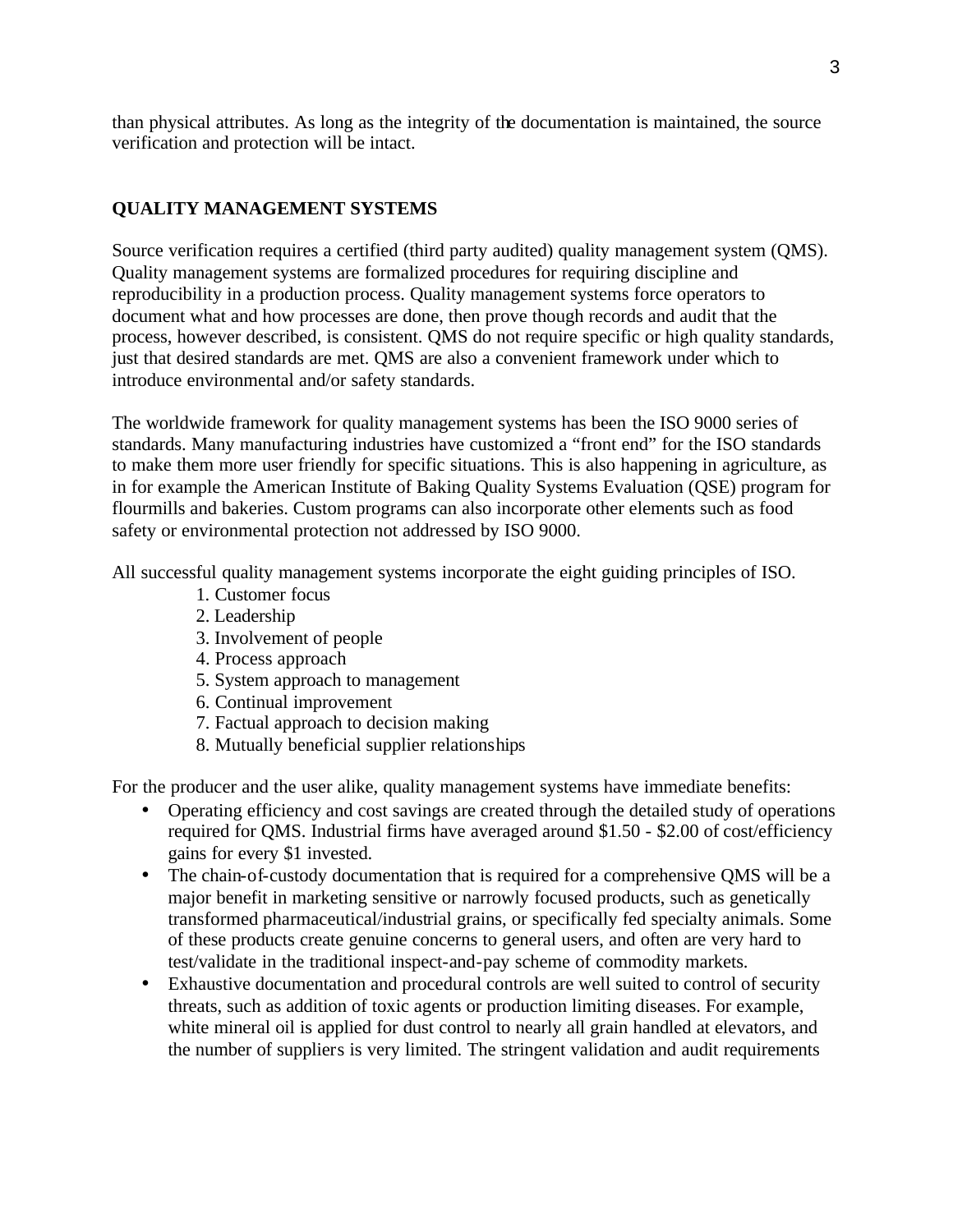than physical attributes. As long as the integrity of the documentation is maintained, the source verification and protection will be intact.

# **QUALITY MANAGEMENT SYSTEMS**

Source verification requires a certified (third party audited) quality management system (QMS). Quality management systems are formalized procedures for requiring discipline and reproducibility in a production process. Quality management systems force operators to document what and how processes are done, then prove though records and audit that the process, however described, is consistent. QMS do not require specific or high quality standards, just that desired standards are met. QMS are also a convenient framework under which to introduce environmental and/or safety standards.

The worldwide framework for quality management systems has been the ISO 9000 series of standards. Many manufacturing industries have customized a "front end" for the ISO standards to make them more user friendly for specific situations. This is also happening in agriculture, as in for example the American Institute of Baking Quality Systems Evaluation (QSE) program for flourmills and bakeries. Custom programs can also incorporate other elements such as food safety or environmental protection not addressed by ISO 9000.

All successful quality management systems incorporate the eight guiding principles of ISO.

- 1. Customer focus
- 2. Leadership
- 3. Involvement of people
- 4. Process approach
- 5. System approach to management
- 6. Continual improvement
- 7. Factual approach to decision making
- 8. Mutually beneficial supplier relationships

For the producer and the user alike, quality management systems have immediate benefits:

- Operating efficiency and cost savings are created through the detailed study of operations required for QMS. Industrial firms have averaged around \$1.50 - \$2.00 of cost/efficiency gains for every \$1 invested.
- The chain-of-custody documentation that is required for a comprehensive QMS will be a major benefit in marketing sensitive or narrowly focused products, such as genetically transformed pharmaceutical/industrial grains, or specifically fed specialty animals. Some of these products create genuine concerns to general users, and often are very hard to test/validate in the traditional inspect-and-pay scheme of commodity markets.
- Exhaustive documentation and procedural controls are well suited to control of security threats, such as addition of toxic agents or production limiting diseases. For example, white mineral oil is applied for dust control to nearly all grain handled at elevators, and the number of suppliers is very limited. The stringent validation and audit requirements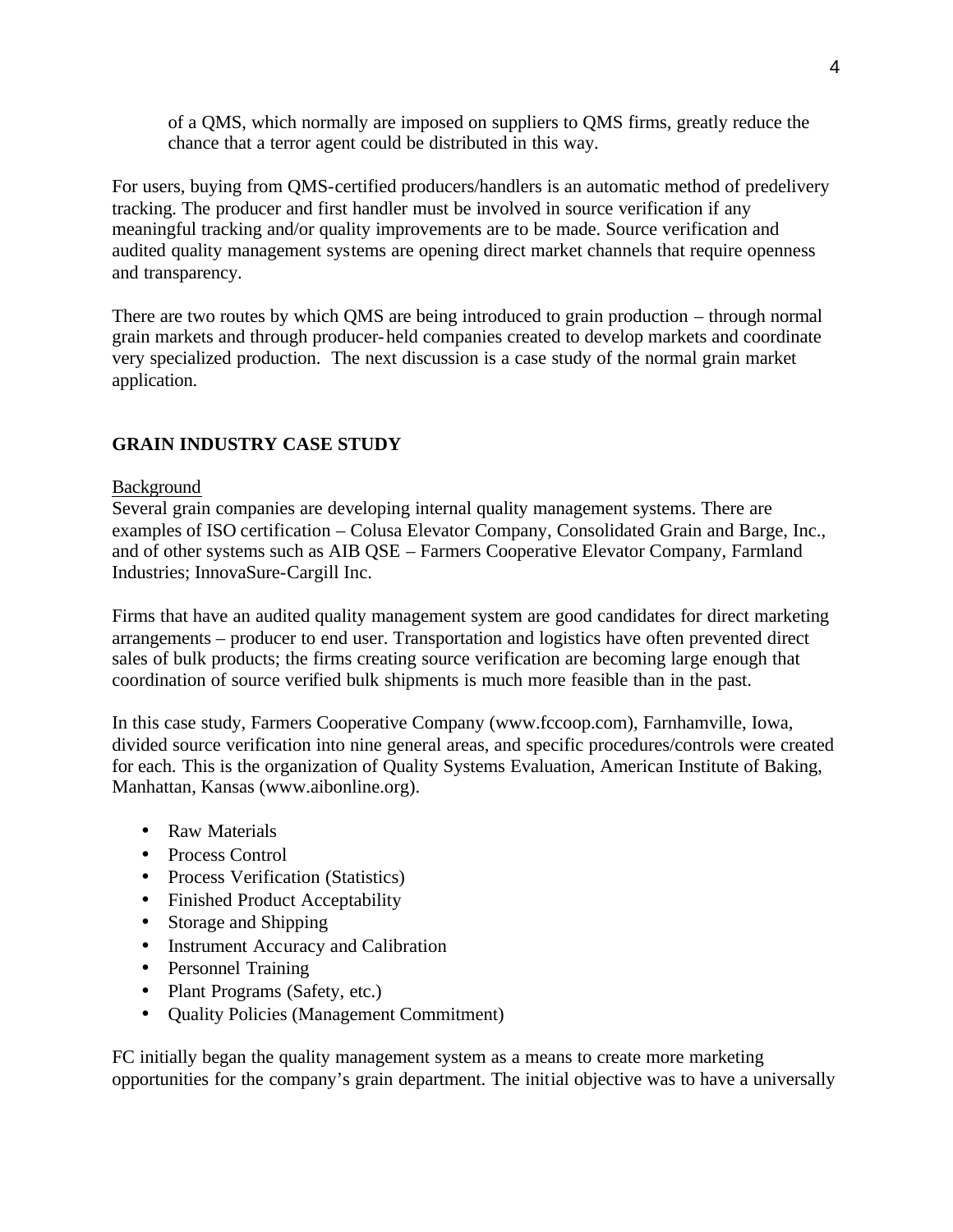of a QMS, which normally are imposed on suppliers to QMS firms, greatly reduce the chance that a terror agent could be distributed in this way.

For users, buying from QMS-certified producers/handlers is an automatic method of predelivery tracking. The producer and first handler must be involved in source verification if any meaningful tracking and/or quality improvements are to be made. Source verification and audited quality management systems are opening direct market channels that require openness and transparency.

There are two routes by which QMS are being introduced to grain production – through normal grain markets and through producer-held companies created to develop markets and coordinate very specialized production. The next discussion is a case study of the normal grain market application.

# **GRAIN INDUSTRY CASE STUDY**

#### Background

Several grain companies are developing internal quality management systems. There are examples of ISO certification – Colusa Elevator Company, Consolidated Grain and Barge, Inc., and of other systems such as AIB QSE – Farmers Cooperative Elevator Company, Farmland Industries; InnovaSure-Cargill Inc.

Firms that have an audited quality management system are good candidates for direct marketing arrangements – producer to end user. Transportation and logistics have often prevented direct sales of bulk products; the firms creating source verification are becoming large enough that coordination of source verified bulk shipments is much more feasible than in the past.

In this case study, Farmers Cooperative Company (www.fccoop.com), Farnhamville, Iowa, divided source verification into nine general areas, and specific procedures/controls were created for each. This is the organization of Quality Systems Evaluation, American Institute of Baking, Manhattan, Kansas (www.aibonline.org).

- Raw Materials
- Process Control
- Process Verification (Statistics)
- Finished Product Acceptability
- Storage and Shipping
- Instrument Accuracy and Calibration
- Personnel Training
- Plant Programs (Safety, etc.)
- Quality Policies (Management Commitment)

FC initially began the quality management system as a means to create more marketing opportunities for the company's grain department. The initial objective was to have a universally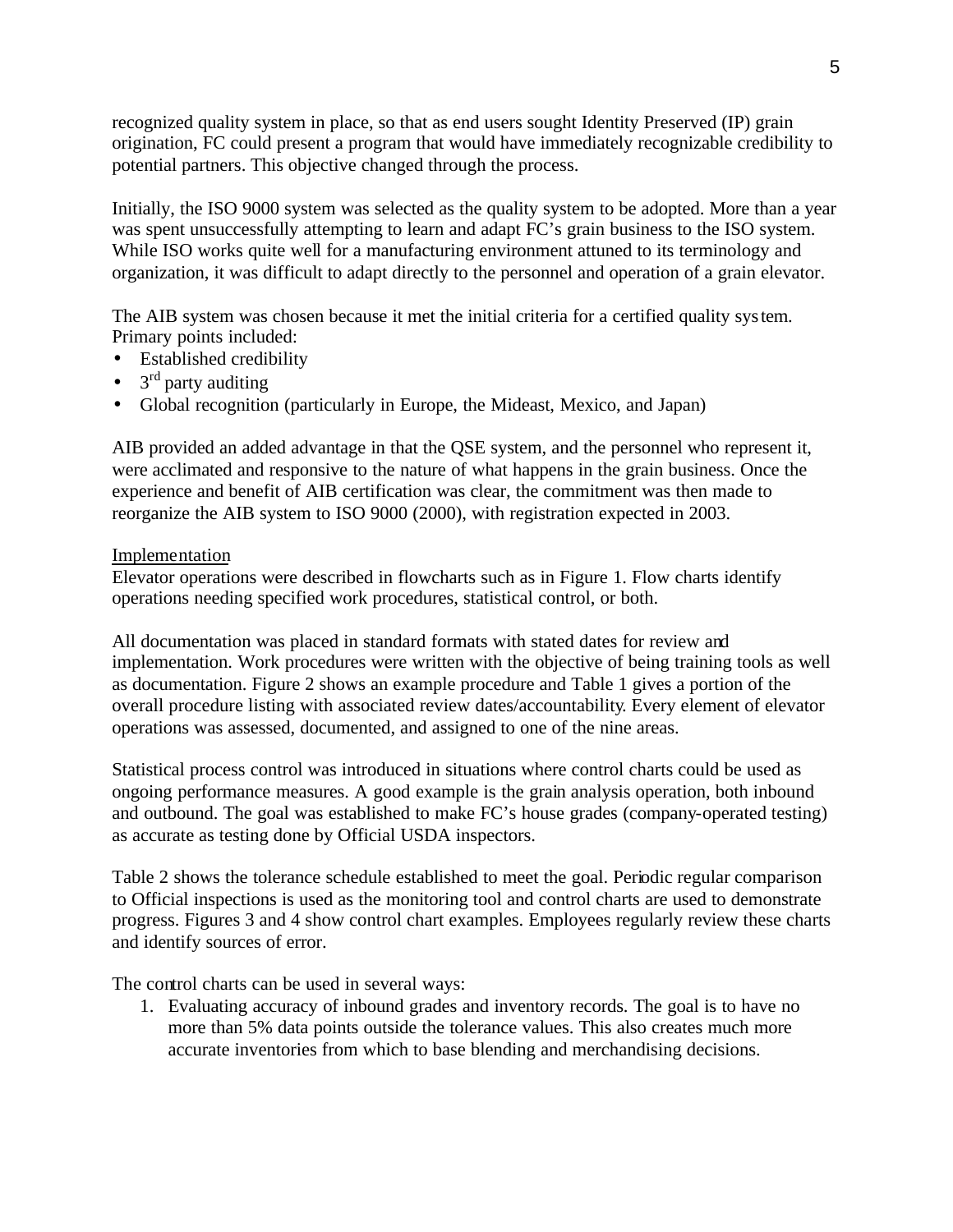recognized quality system in place, so that as end users sought Identity Preserved (IP) grain origination, FC could present a program that would have immediately recognizable credibility to potential partners. This objective changed through the process.

Initially, the ISO 9000 system was selected as the quality system to be adopted. More than a year was spent unsuccessfully attempting to learn and adapt FC's grain business to the ISO system. While ISO works quite well for a manufacturing environment attuned to its terminology and organization, it was difficult to adapt directly to the personnel and operation of a grain elevator.

The AIB system was chosen because it met the initial criteria for a certified quality system. Primary points included:

- Established credibility
- $3<sup>rd</sup>$  party auditing
- Global recognition (particularly in Europe, the Mideast, Mexico, and Japan)

AIB provided an added advantage in that the QSE system, and the personnel who represent it, were acclimated and responsive to the nature of what happens in the grain business. Once the experience and benefit of AIB certification was clear, the commitment was then made to reorganize the AIB system to ISO 9000 (2000), with registration expected in 2003.

## Implementation

Elevator operations were described in flowcharts such as in Figure 1. Flow charts identify operations needing specified work procedures, statistical control, or both.

All documentation was placed in standard formats with stated dates for review and implementation. Work procedures were written with the objective of being training tools as well as documentation. Figure 2 shows an example procedure and Table 1 gives a portion of the overall procedure listing with associated review dates/accountability. Every element of elevator operations was assessed, documented, and assigned to one of the nine areas.

Statistical process control was introduced in situations where control charts could be used as ongoing performance measures. A good example is the grain analysis operation, both inbound and outbound. The goal was established to make FC's house grades (company-operated testing) as accurate as testing done by Official USDA inspectors.

Table 2 shows the tolerance schedule established to meet the goal. Periodic regular comparison to Official inspections is used as the monitoring tool and control charts are used to demonstrate progress. Figures 3 and 4 show control chart examples. Employees regularly review these charts and identify sources of error.

The control charts can be used in several ways:

1. Evaluating accuracy of inbound grades and inventory records. The goal is to have no more than 5% data points outside the tolerance values. This also creates much more accurate inventories from which to base blending and merchandising decisions.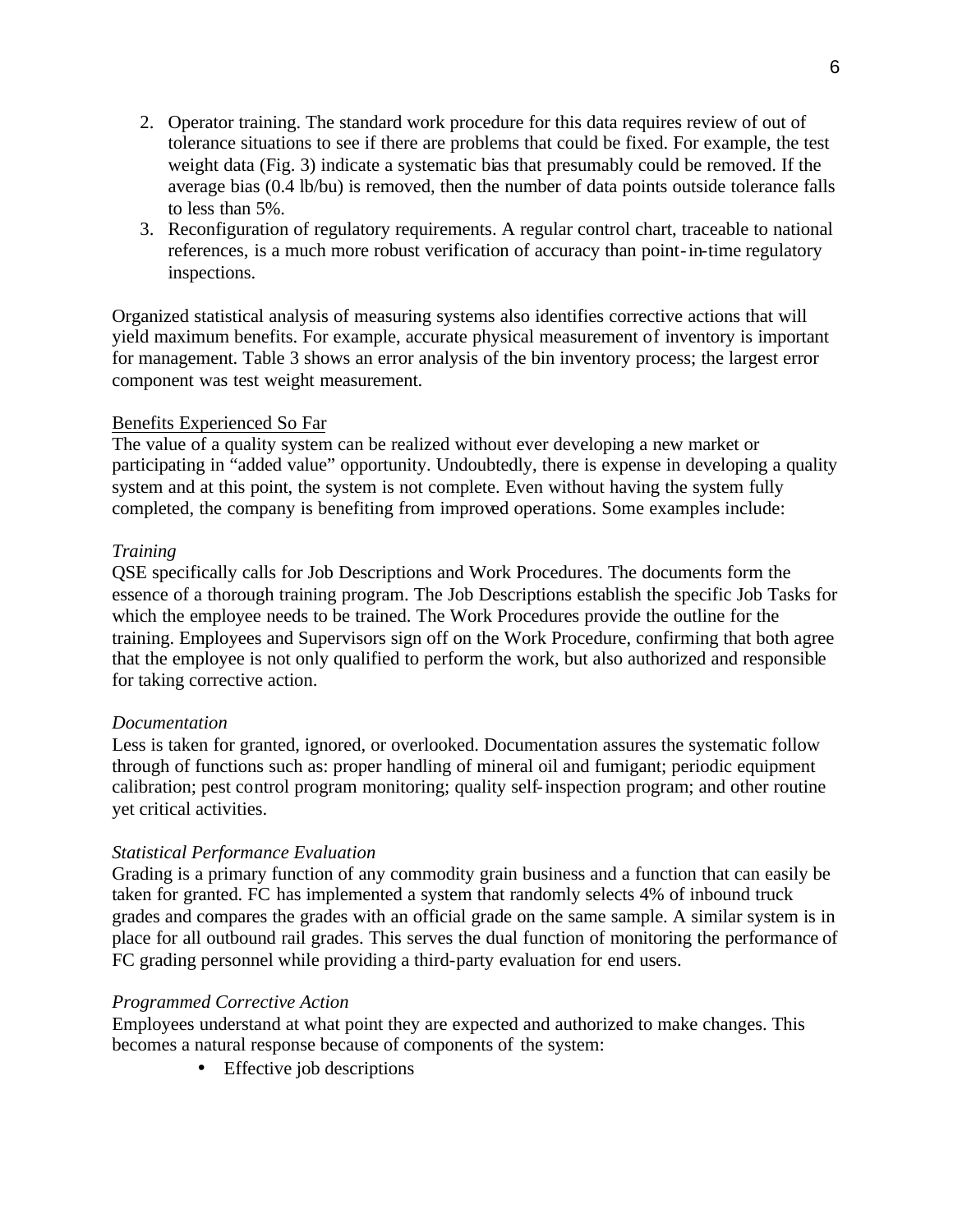- 2. Operator training. The standard work procedure for this data requires review of out of tolerance situations to see if there are problems that could be fixed. For example, the test weight data (Fig. 3) indicate a systematic bias that presumably could be removed. If the average bias (0.4 lb/bu) is removed, then the number of data points outside tolerance falls to less than 5%.
- 3. Reconfiguration of regulatory requirements. A regular control chart, traceable to national references, is a much more robust verification of accuracy than point-in-time regulatory inspections.

Organized statistical analysis of measuring systems also identifies corrective actions that will yield maximum benefits. For example, accurate physical measurement of inventory is important for management. Table 3 shows an error analysis of the bin inventory process; the largest error component was test weight measurement.

#### Benefits Experienced So Far

The value of a quality system can be realized without ever developing a new market or participating in "added value" opportunity. Undoubtedly, there is expense in developing a quality system and at this point, the system is not complete. Even without having the system fully completed, the company is benefiting from improved operations. Some examples include:

#### *Training*

QSE specifically calls for Job Descriptions and Work Procedures. The documents form the essence of a thorough training program. The Job Descriptions establish the specific Job Tasks for which the employee needs to be trained. The Work Procedures provide the outline for the training. Employees and Supervisors sign off on the Work Procedure, confirming that both agree that the employee is not only qualified to perform the work, but also authorized and responsible for taking corrective action.

#### *Documentation*

Less is taken for granted, ignored, or overlooked. Documentation assures the systematic follow through of functions such as: proper handling of mineral oil and fumigant; periodic equipment calibration; pest control program monitoring; quality self-inspection program; and other routine yet critical activities.

## *Statistical Performance Evaluation*

Grading is a primary function of any commodity grain business and a function that can easily be taken for granted. FC has implemented a system that randomly selects 4% of inbound truck grades and compares the grades with an official grade on the same sample. A similar system is in place for all outbound rail grades. This serves the dual function of monitoring the performance of FC grading personnel while providing a third-party evaluation for end users.

#### *Programmed Corrective Action*

Employees understand at what point they are expected and authorized to make changes. This becomes a natural response because of components of the system:

• Effective job descriptions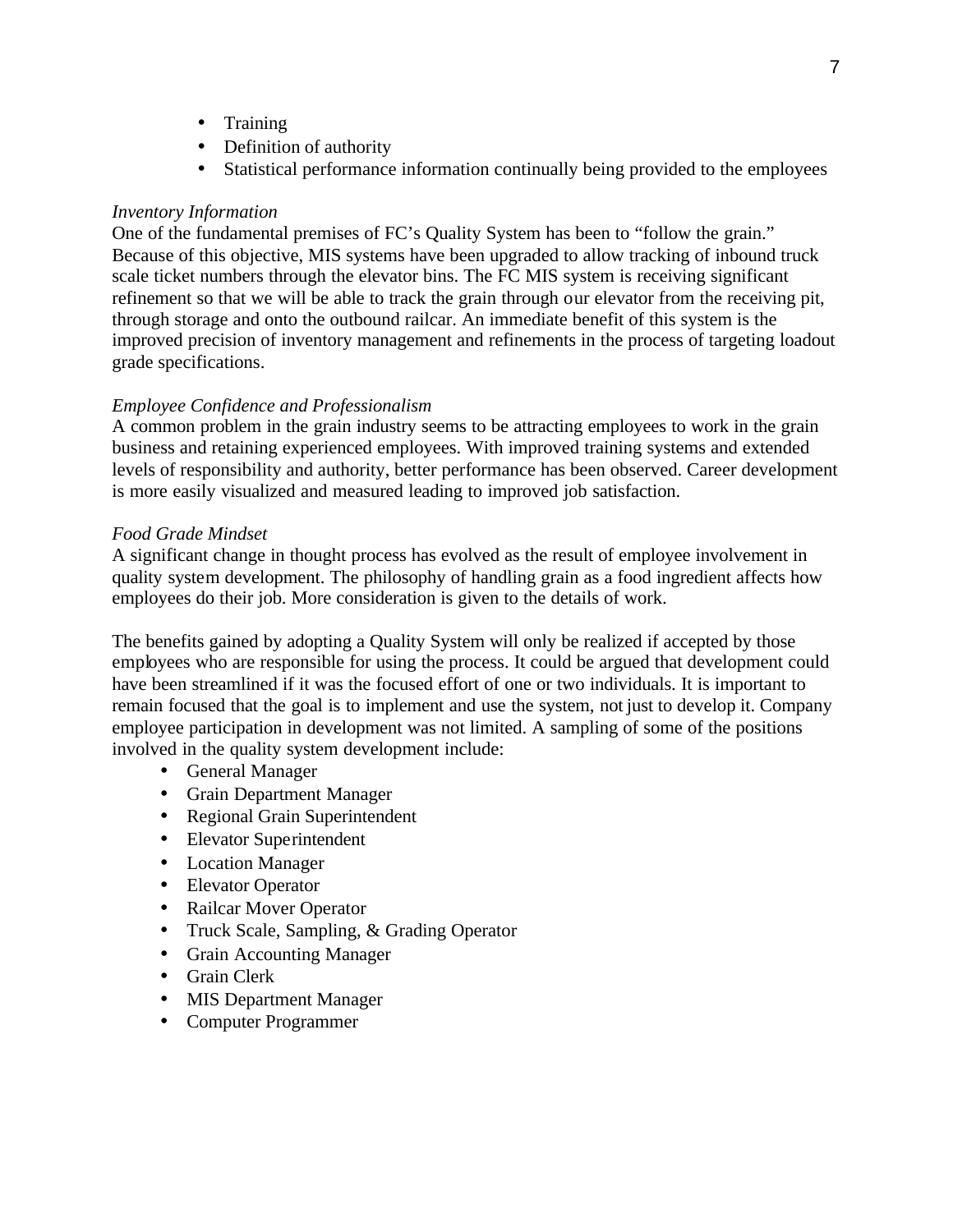- Training
- Definition of authority
- Statistical performance information continually being provided to the employees

## *Inventory Information*

One of the fundamental premises of FC's Quality System has been to "follow the grain." Because of this objective, MIS systems have been upgraded to allow tracking of inbound truck scale ticket numbers through the elevator bins. The FC MIS system is receiving significant refinement so that we will be able to track the grain through our elevator from the receiving pit, through storage and onto the outbound railcar. An immediate benefit of this system is the improved precision of inventory management and refinements in the process of targeting loadout grade specifications.

## *Employee Confidence and Professionalism*

A common problem in the grain industry seems to be attracting employees to work in the grain business and retaining experienced employees. With improved training systems and extended levels of responsibility and authority, better performance has been observed. Career development is more easily visualized and measured leading to improved job satisfaction.

#### *Food Grade Mindset*

A significant change in thought process has evolved as the result of employee involvement in quality system development. The philosophy of handling grain as a food ingredient affects how employees do their job. More consideration is given to the details of work.

The benefits gained by adopting a Quality System will only be realized if accepted by those employees who are responsible for using the process. It could be argued that development could have been streamlined if it was the focused effort of one or two individuals. It is important to remain focused that the goal is to implement and use the system, not just to develop it. Company employee participation in development was not limited. A sampling of some of the positions involved in the quality system development include:

- General Manager
- Grain Department Manager
- Regional Grain Superintendent
- Elevator Superintendent
- Location Manager
- Elevator Operator
- Railcar Mover Operator
- Truck Scale, Sampling, & Grading Operator
- Grain Accounting Manager
- Grain Clerk
- MIS Department Manager
- Computer Programmer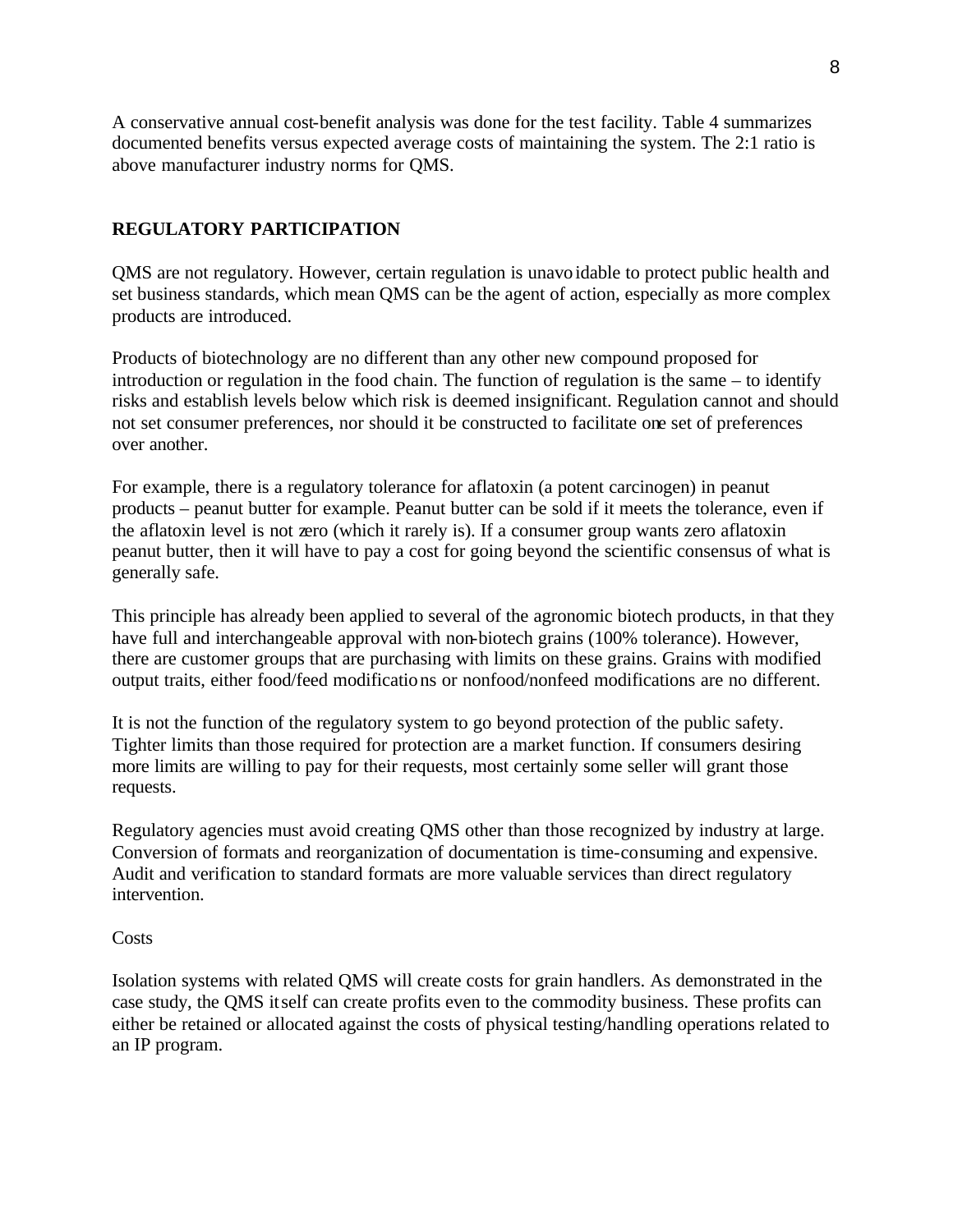A conservative annual cost-benefit analysis was done for the test facility. Table 4 summarizes documented benefits versus expected average costs of maintaining the system. The 2:1 ratio is above manufacturer industry norms for QMS.

## **REGULATORY PARTICIPATION**

QMS are not regulatory. However, certain regulation is unavoidable to protect public health and set business standards, which mean QMS can be the agent of action, especially as more complex products are introduced.

Products of biotechnology are no different than any other new compound proposed for introduction or regulation in the food chain. The function of regulation is the same – to identify risks and establish levels below which risk is deemed insignificant. Regulation cannot and should not set consumer preferences, nor should it be constructed to facilitate one set of preferences over another.

For example, there is a regulatory tolerance for aflatoxin (a potent carcinogen) in peanut products – peanut butter for example. Peanut butter can be sold if it meets the tolerance, even if the aflatoxin level is not zero (which it rarely is). If a consumer group wants zero aflatoxin peanut butter, then it will have to pay a cost for going beyond the scientific consensus of what is generally safe.

This principle has already been applied to several of the agronomic biotech products, in that they have full and interchangeable approval with non-biotech grains (100% tolerance). However, there are customer groups that are purchasing with limits on these grains. Grains with modified output traits, either food/feed modifications or nonfood/nonfeed modifications are no different.

It is not the function of the regulatory system to go beyond protection of the public safety. Tighter limits than those required for protection are a market function. If consumers desiring more limits are willing to pay for their requests, most certainly some seller will grant those requests.

Regulatory agencies must avoid creating QMS other than those recognized by industry at large. Conversion of formats and reorganization of documentation is time-consuming and expensive. Audit and verification to standard formats are more valuable services than direct regulatory intervention.

#### **Costs**

Isolation systems with related QMS will create costs for grain handlers. As demonstrated in the case study, the QMS itself can create profits even to the commodity business. These profits can either be retained or allocated against the costs of physical testing/handling operations related to an IP program.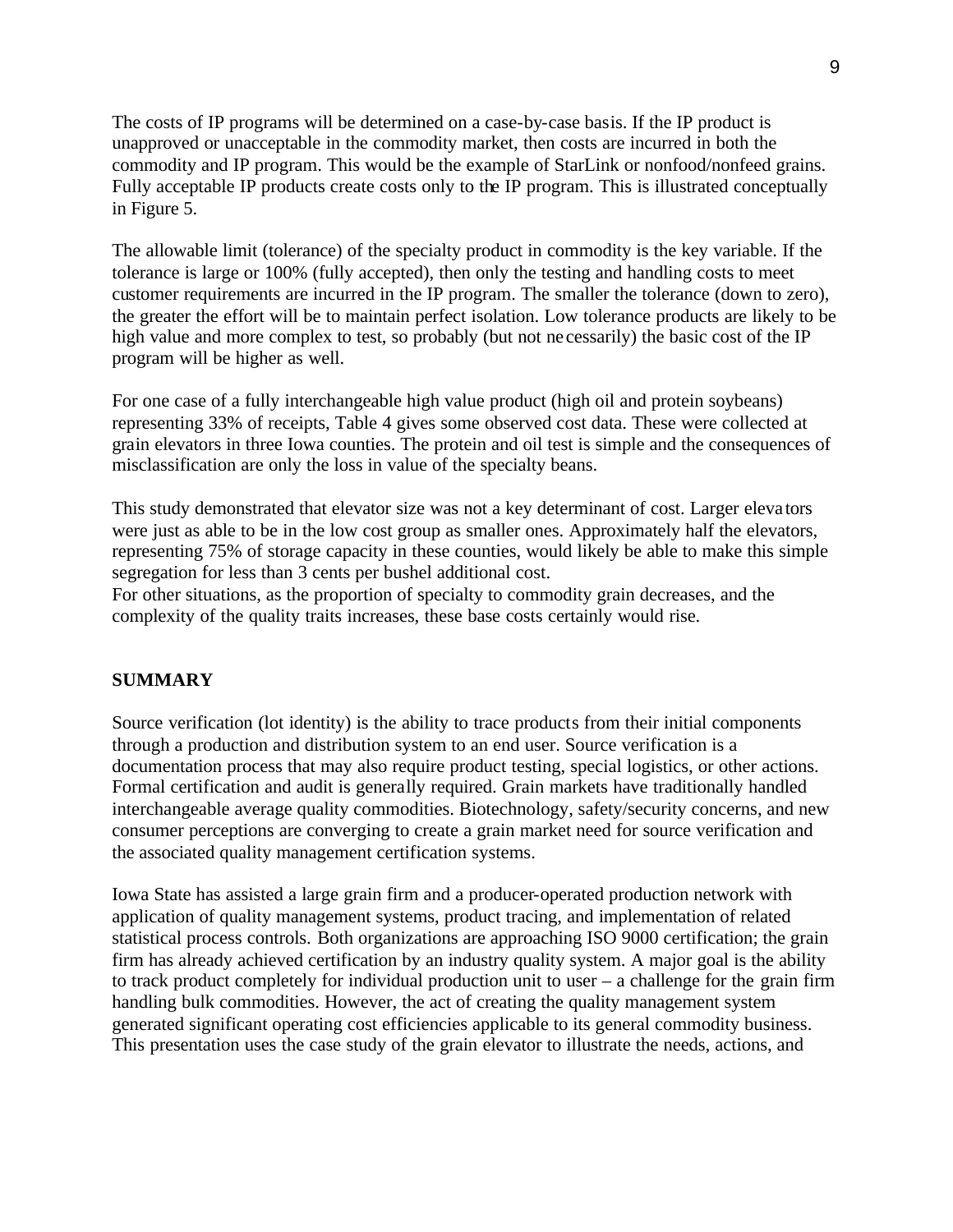The costs of IP programs will be determined on a case-by-case basis. If the IP product is unapproved or unacceptable in the commodity market, then costs are incurred in both the commodity and IP program. This would be the example of StarLink or nonfood/nonfeed grains. Fully acceptable IP products create costs only to the IP program. This is illustrated conceptually in Figure 5.

The allowable limit (tolerance) of the specialty product in commodity is the key variable. If the tolerance is large or 100% (fully accepted), then only the testing and handling costs to meet customer requirements are incurred in the IP program. The smaller the tolerance (down to zero), the greater the effort will be to maintain perfect isolation. Low tolerance products are likely to be high value and more complex to test, so probably (but not ne cessarily) the basic cost of the IP program will be higher as well.

For one case of a fully interchangeable high value product (high oil and protein soybeans) representing 33% of receipts, Table 4 gives some observed cost data. These were collected at grain elevators in three Iowa counties. The protein and oil test is simple and the consequences of misclassification are only the loss in value of the specialty beans.

This study demonstrated that elevator size was not a key determinant of cost. Larger eleva tors were just as able to be in the low cost group as smaller ones. Approximately half the elevators, representing 75% of storage capacity in these counties, would likely be able to make this simple segregation for less than 3 cents per bushel additional cost.

For other situations, as the proportion of specialty to commodity grain decreases, and the complexity of the quality traits increases, these base costs certainly would rise.

#### **SUMMARY**

Source verification (lot identity) is the ability to trace products from their initial components through a production and distribution system to an end user. Source verification is a documentation process that may also require product testing, special logistics, or other actions. Formal certification and audit is generally required. Grain markets have traditionally handled interchangeable average quality commodities. Biotechnology, safety/security concerns, and new consumer perceptions are converging to create a grain market need for source verification and the associated quality management certification systems.

Iowa State has assisted a large grain firm and a producer-operated production network with application of quality management systems, product tracing, and implementation of related statistical process controls. Both organizations are approaching ISO 9000 certification; the grain firm has already achieved certification by an industry quality system. A major goal is the ability to track product completely for individual production unit to user – a challenge for the grain firm handling bulk commodities. However, the act of creating the quality management system generated significant operating cost efficiencies applicable to its general commodity business. This presentation uses the case study of the grain elevator to illustrate the needs, actions, and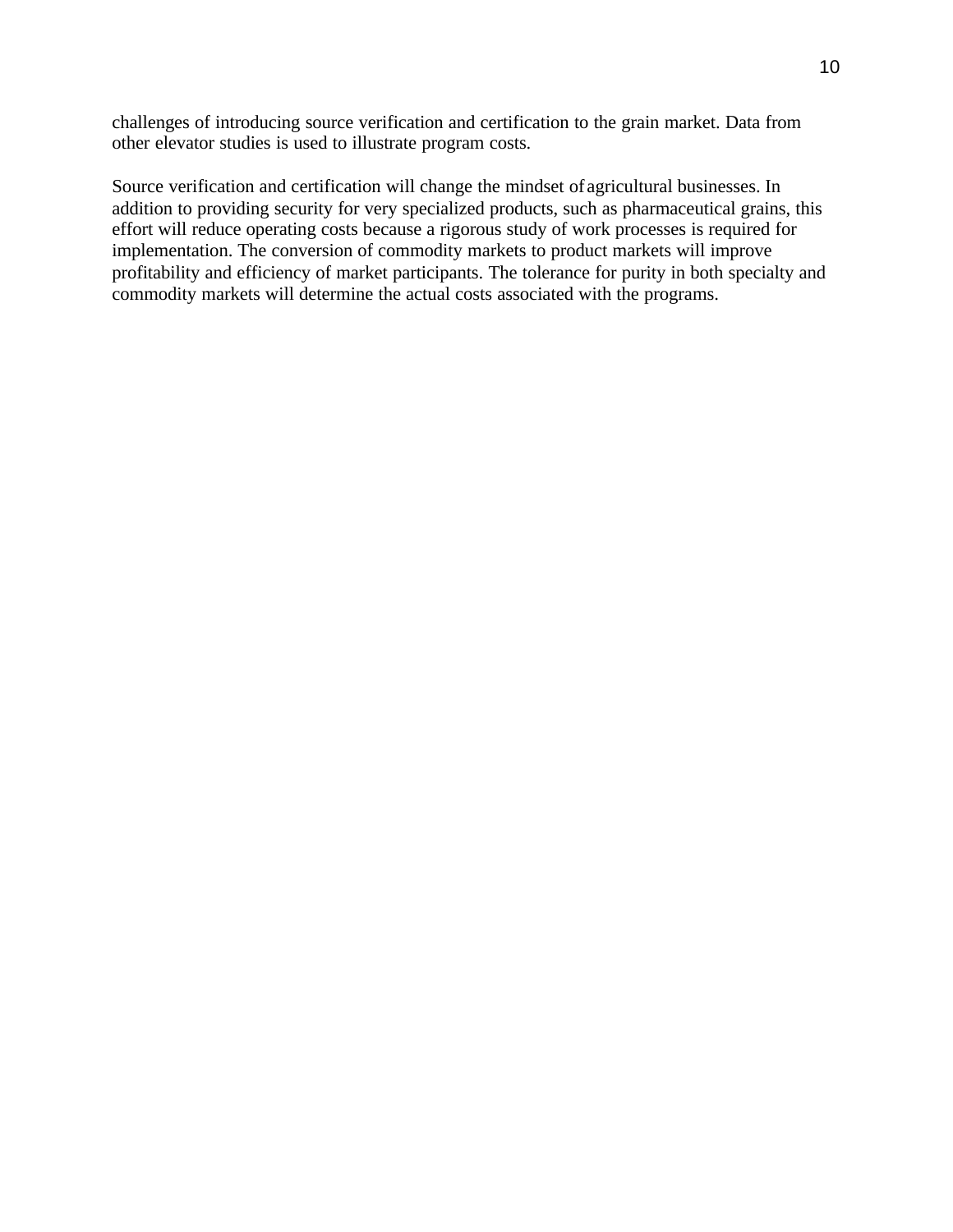challenges of introducing source verification and certification to the grain market. Data from other elevator studies is used to illustrate program costs.

Source verification and certification will change the mindset of agricultural businesses. In addition to providing security for very specialized products, such as pharmaceutical grains, this effort will reduce operating costs because a rigorous study of work processes is required for implementation. The conversion of commodity markets to product markets will improve profitability and efficiency of market participants. The tolerance for purity in both specialty and commodity markets will determine the actual costs associated with the programs.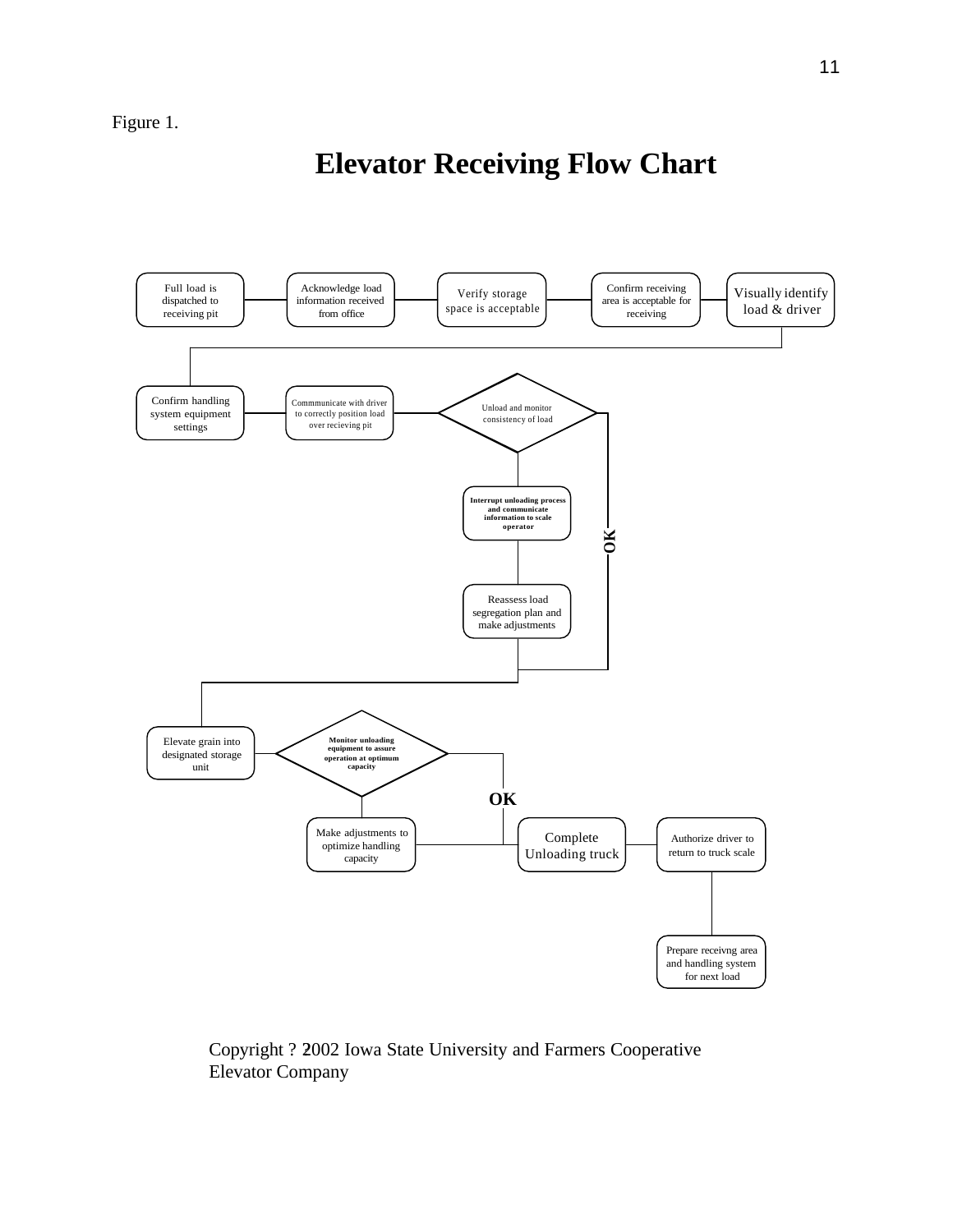# **Elevator Receiving Flow Chart**



Copyright ? 2002 Iowa State University and Farmers Cooperative Elevator Company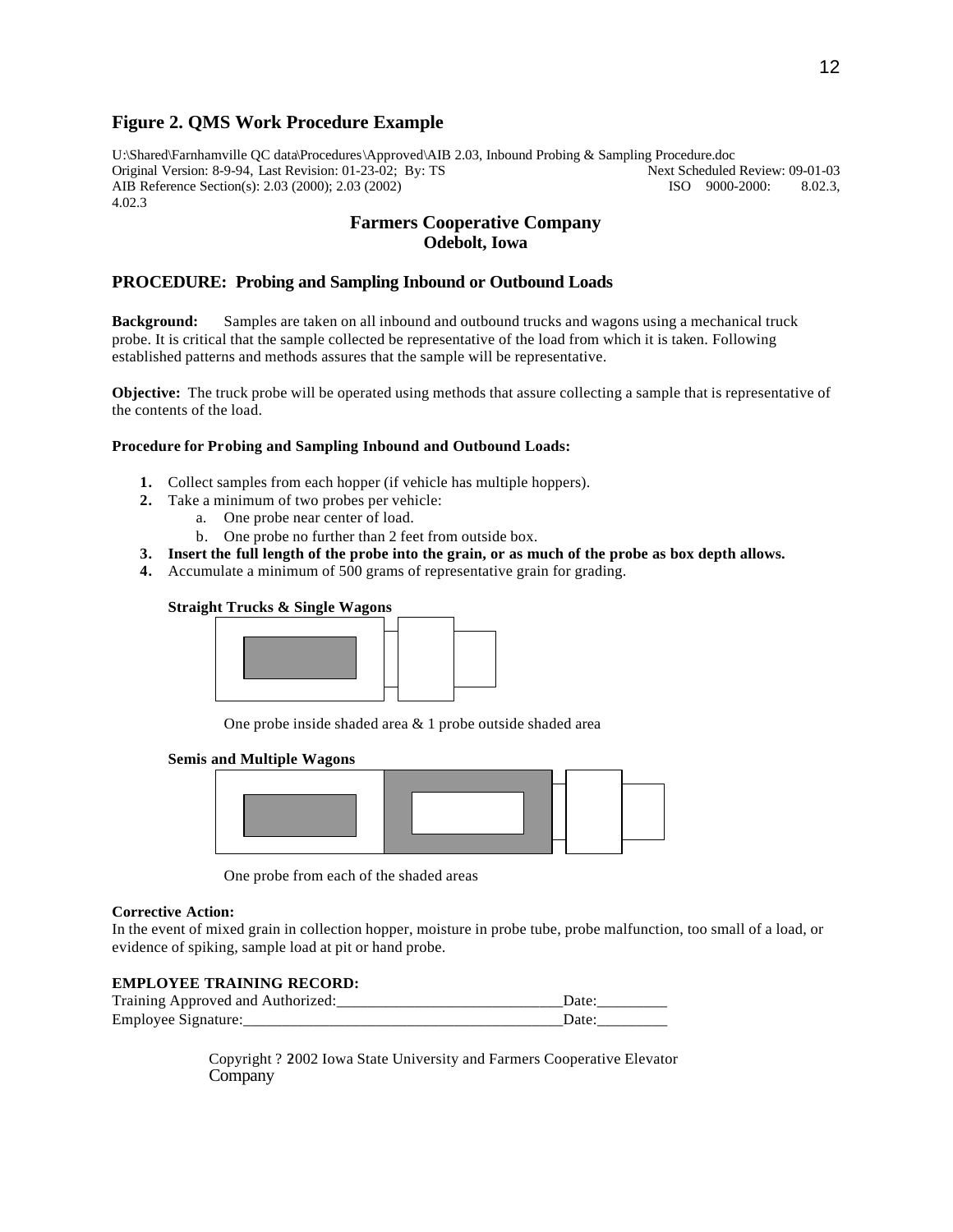#### **Figure 2. QMS Work Procedure Example**

U:\Shared\Farnhamville QC data\Procedures\Approved\AIB 2.03, Inbound Probing & Sampling Procedure.doc Original Version: 8-9-94, Last Revision: 01-23-02; By: TS Next Scheduled Review AIB Reference Section(s): 2.03 (2000); 2.03 (2002) ISO 9000-2000: AIB Reference Section(s): 2.03 (2000); 2.03 (2002) ISO 9000-2000: 8.02.3, 4.02.3

#### **Farmers Cooperative Company Odebolt, Iowa**

#### **PROCEDURE: Probing and Sampling Inbound or Outbound Loads**

**Background:** Samples are taken on all inbound and outbound trucks and wagons using a mechanical truck probe. It is critical that the sample collected be representative of the load from which it is taken. Following established patterns and methods assures that the sample will be representative.

**Objective:** The truck probe will be operated using methods that assure collecting a sample that is representative of the contents of the load.

#### **Procedure for Probing and Sampling Inbound and Outbound Loads:**

- **1.** Collect samples from each hopper (if vehicle has multiple hoppers).
- **2.** Take a minimum of two probes per vehicle:
	- a. One probe near center of load.
	- b. One probe no further than 2 feet from outside box.
- **3. Insert the full length of the probe into the grain, or as much of the probe as box depth allows.**
- **4.** Accumulate a minimum of 500 grams of representative grain for grading.

#### **Straight Trucks & Single Wagons**



One probe inside shaded area & 1 probe outside shaded area

#### **Semis and Multiple Wagons**



One probe from each of the shaded areas

#### **Corrective Action:**

In the event of mixed grain in collection hopper, moisture in probe tube, probe malfunction, too small of a load, or evidence of spiking, sample load at pit or hand probe.

#### **EMPLOYEE TRAINING RECORD:**

| Training Approved and Authorized: |  |
|-----------------------------------|--|
| Employee Signature:               |  |

Copyright ? 2002 Iowa State University and Farmers Cooperative Elevator Company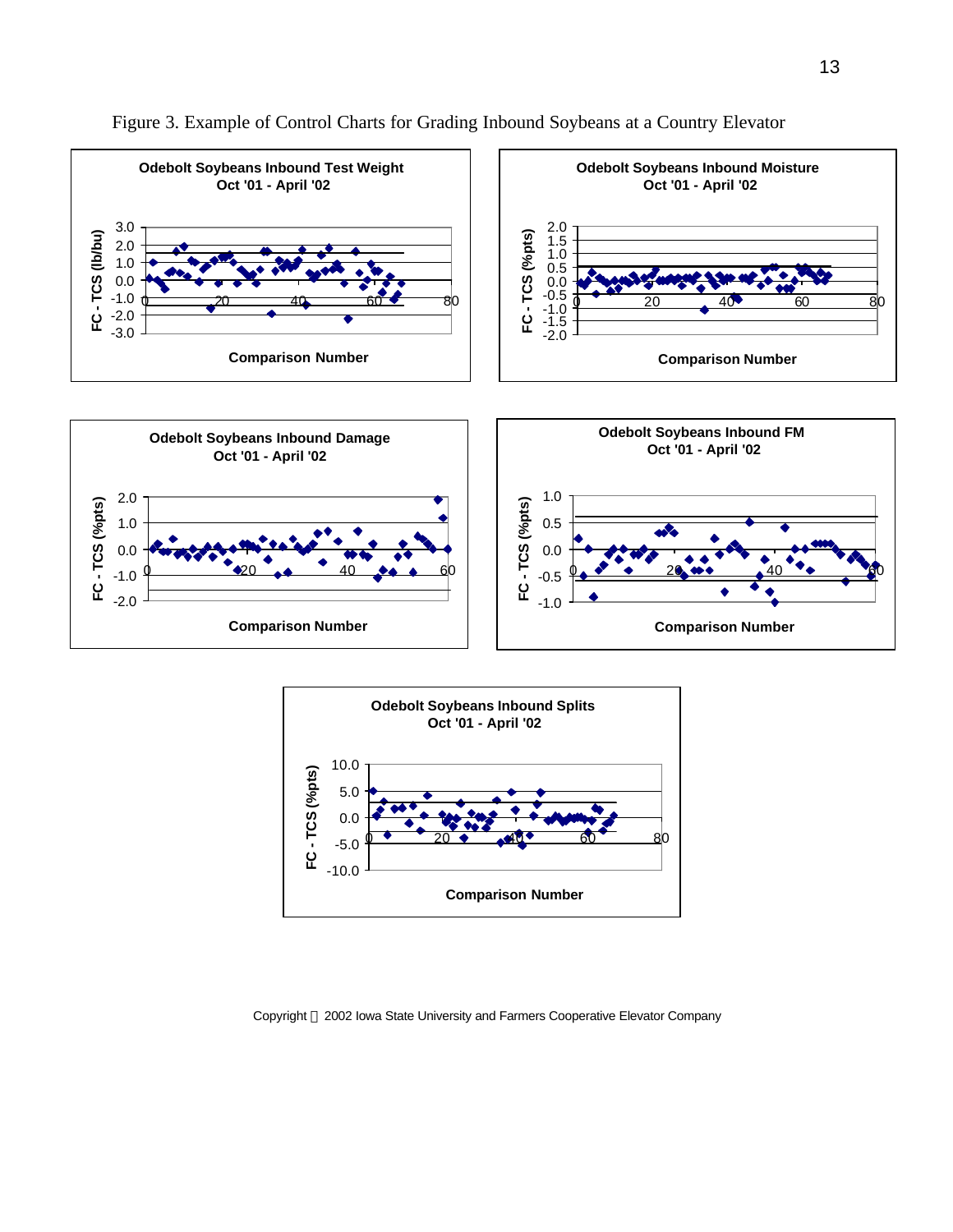





Copyright 2002 Iowa State University and Farmers Cooperative Elevator Company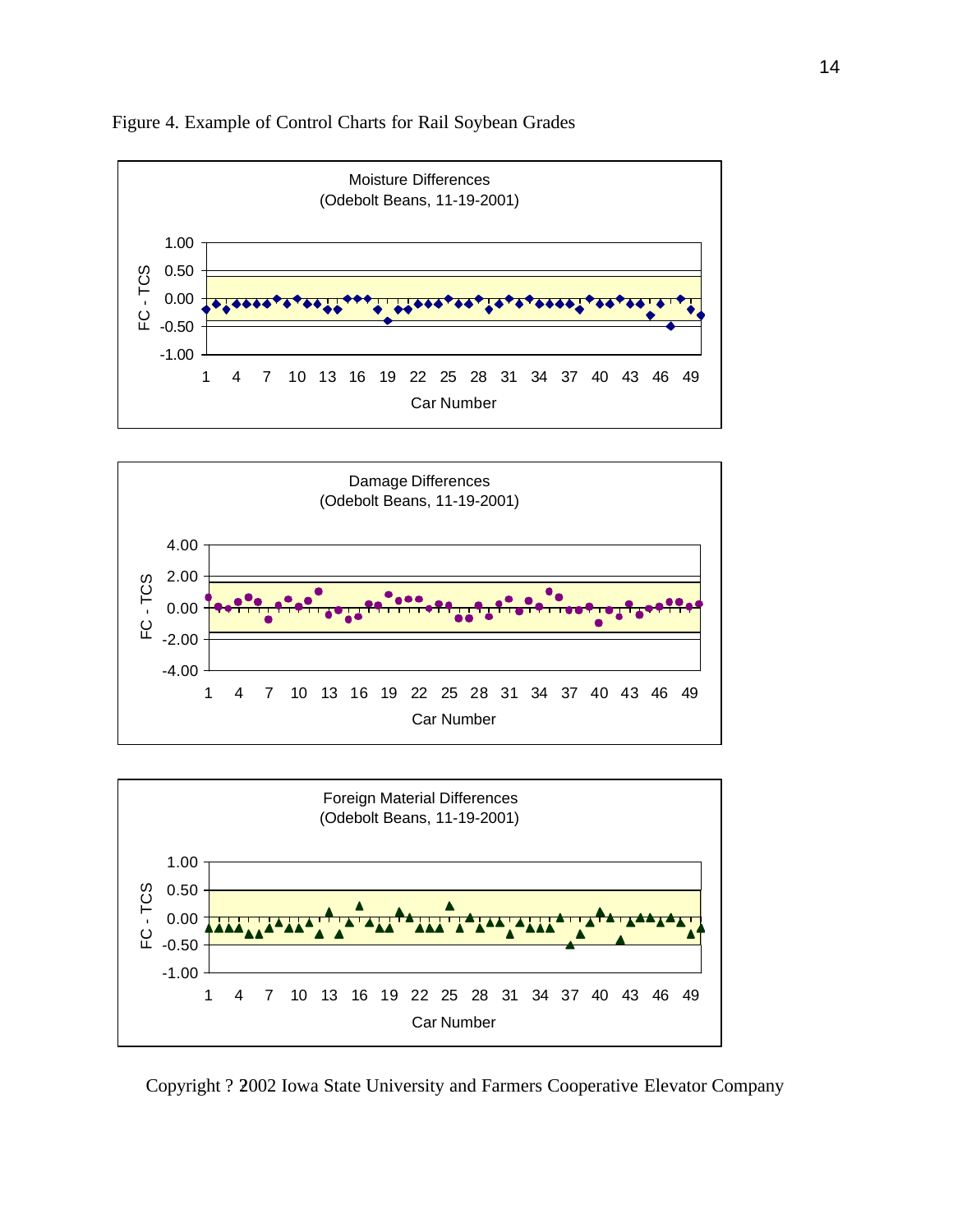

Figure 4. Example of Control Charts for Rail Soybean Grades





Copyright ? 2002 Iowa State University and Farmers Cooperative Elevator Company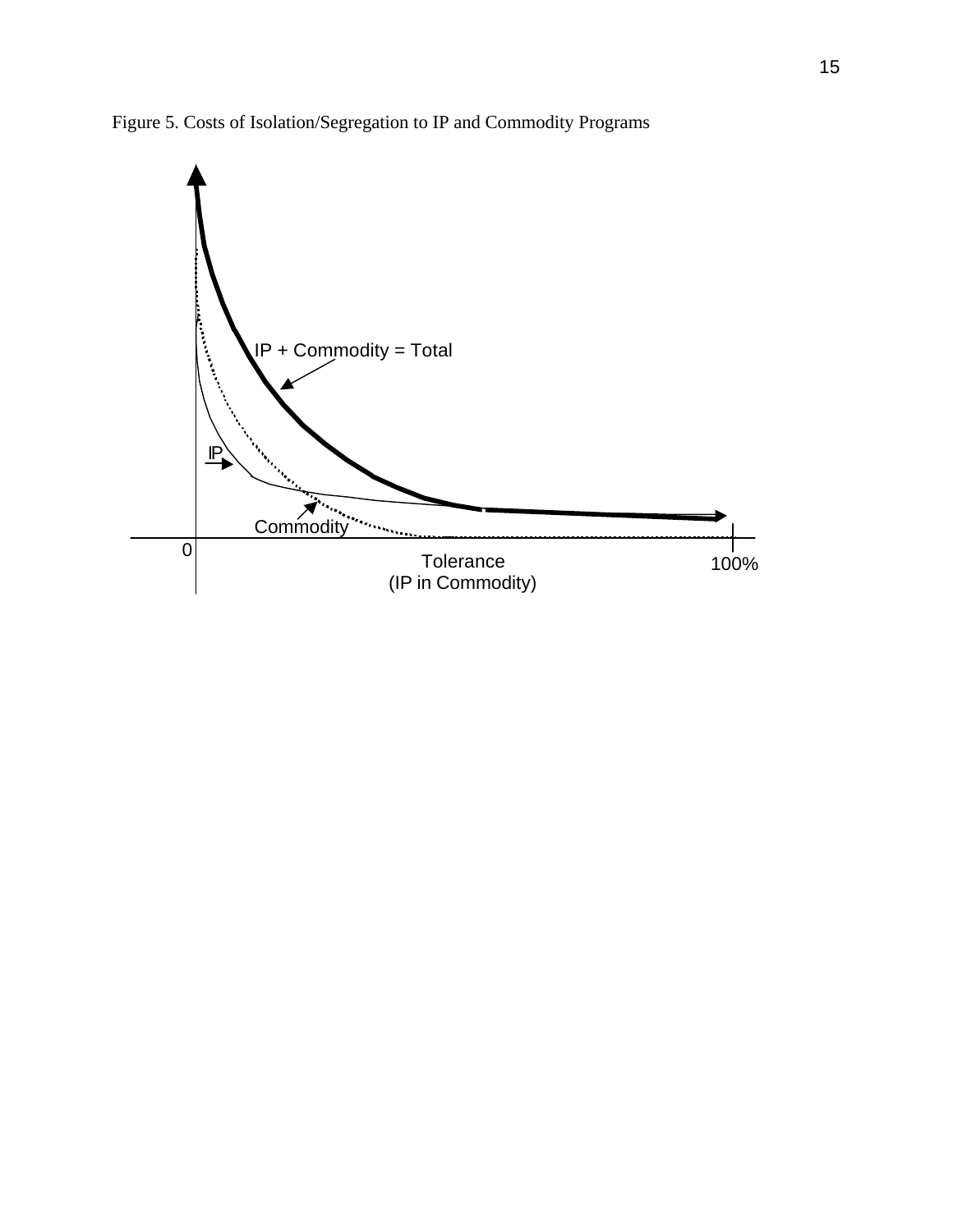

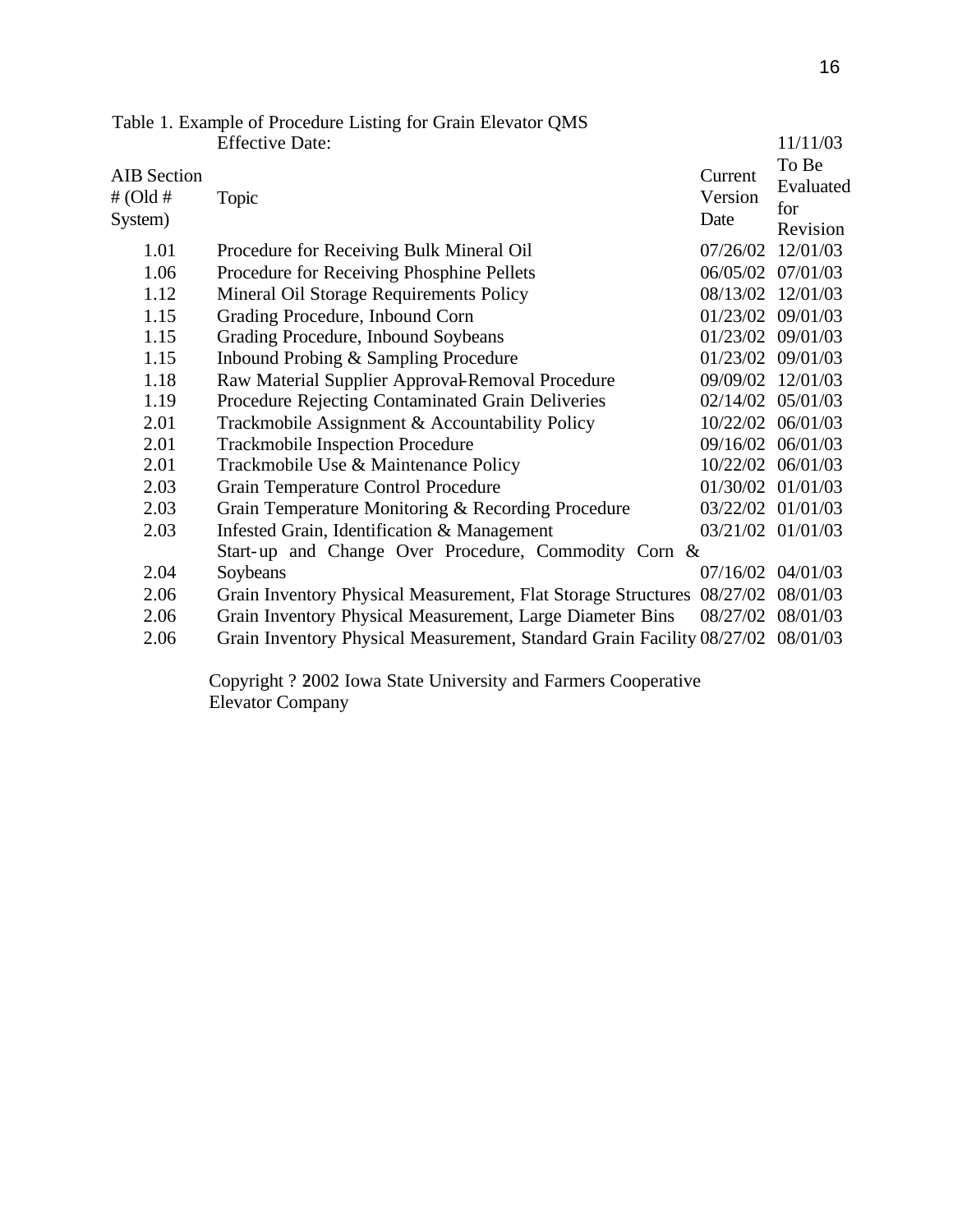|                                           | Table 1. Example of Procedure Listing for Grain Elevator QMS                    |                            |                                       |
|-------------------------------------------|---------------------------------------------------------------------------------|----------------------------|---------------------------------------|
|                                           | <b>Effective Date:</b>                                                          |                            | 11/11/03                              |
| <b>AIB</b> Section<br># (Old #<br>System) | Topic                                                                           | Current<br>Version<br>Date | To Be<br>Evaluated<br>for<br>Revision |
| 1.01                                      | Procedure for Receiving Bulk Mineral Oil                                        | 07/26/02                   | 12/01/03                              |
| 1.06                                      | Procedure for Receiving Phosphine Pellets                                       | 06/05/02 07/01/03          |                                       |
| 1.12                                      | Mineral Oil Storage Requirements Policy                                         | 08/13/02                   | 12/01/03                              |
| 1.15                                      | Grading Procedure, Inbound Corn                                                 | 01/23/02 09/01/03          |                                       |
| 1.15                                      | Grading Procedure, Inbound Soybeans                                             | 01/23/02                   | 09/01/03                              |
| 1.15                                      | Inbound Probing & Sampling Procedure                                            | 01/23/02 09/01/03          |                                       |
| 1.18                                      | Raw Material Supplier Approval-Removal Procedure                                | 09/09/02                   | 12/01/03                              |
| 1.19                                      | Procedure Rejecting Contaminated Grain Deliveries                               | 02/14/02 05/01/03          |                                       |
| 2.01                                      | Trackmobile Assignment & Accountability Policy                                  | 10/22/02                   | 06/01/03                              |
| 2.01                                      | <b>Trackmobile Inspection Procedure</b>                                         | 09/16/02 06/01/03          |                                       |
| 2.01                                      | Trackmobile Use & Maintenance Policy                                            |                            | 10/22/02 06/01/03                     |
| 2.03                                      | <b>Grain Temperature Control Procedure</b>                                      |                            | 01/30/02 01/01/03                     |
| 2.03                                      | Grain Temperature Monitoring & Recording Procedure                              | 03/22/02 01/01/03          |                                       |
| 2.03                                      | Infested Grain, Identification & Management                                     | 03/21/02 01/01/03          |                                       |
|                                           | Start-up and Change Over Procedure, Commodity Corn &                            |                            |                                       |
| 2.04                                      | Soybeans                                                                        | 07/16/02 04/01/03          |                                       |
| 2.06                                      | Grain Inventory Physical Measurement, Flat Storage Structures 08/27/02          |                            | 08/01/03                              |
| 2.06                                      | Grain Inventory Physical Measurement, Large Diameter Bins                       | 08/27/02                   | 08/01/03                              |
| 2.06                                      | Grain Inventory Physical Measurement, Standard Grain Facility 08/27/02 08/01/03 |                            |                                       |
|                                           |                                                                                 |                            |                                       |

Copyright ? 2002 Iowa State University and Farmers Cooperative Elevator Company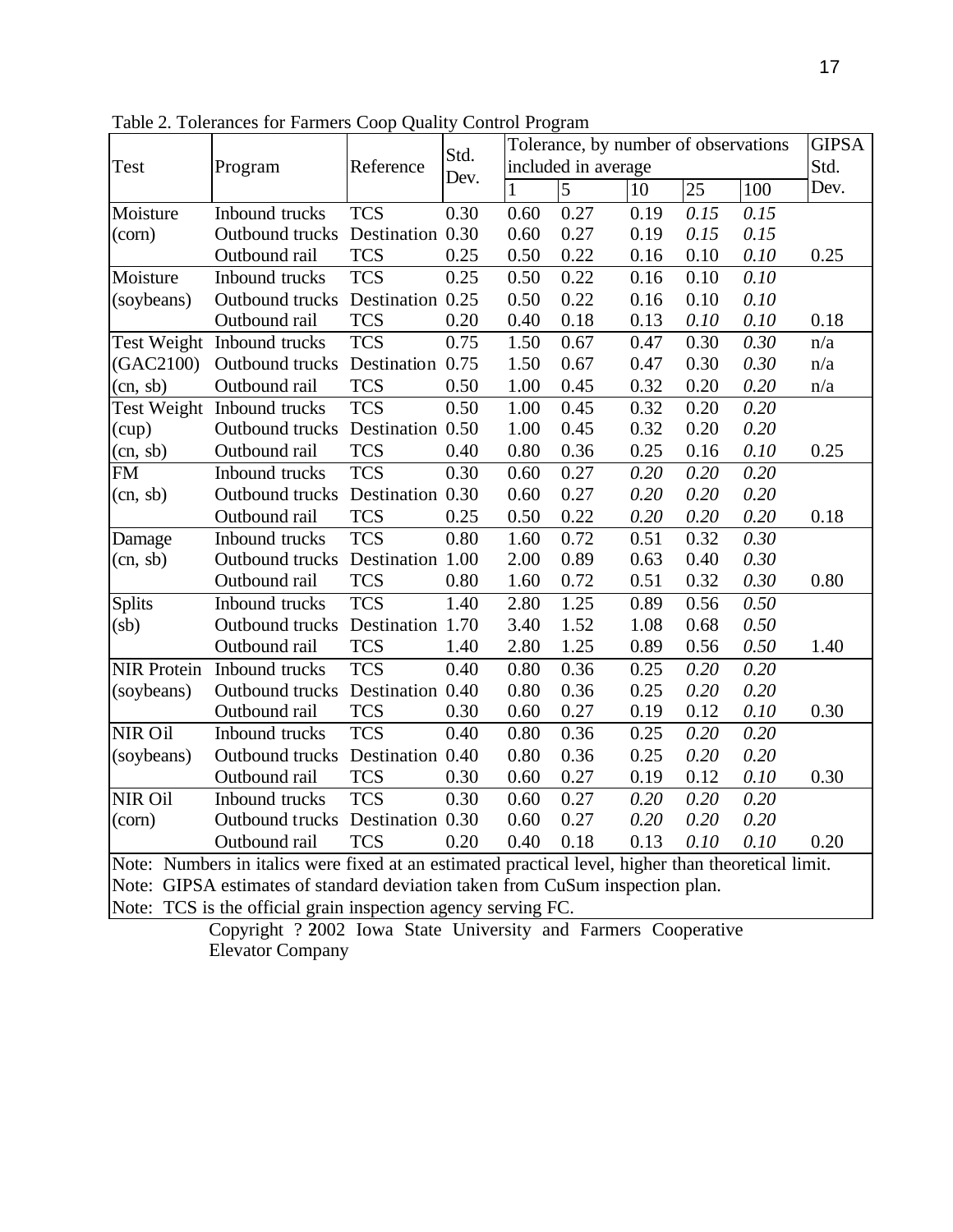|                                                                                                     | Reference<br>Program             | Std.             | Tolerance, by number of observations |                     |                |      | <b>GIPSA</b> |          |      |
|-----------------------------------------------------------------------------------------------------|----------------------------------|------------------|--------------------------------------|---------------------|----------------|------|--------------|----------|------|
| <b>Test</b>                                                                                         |                                  |                  |                                      | included in average |                |      |              | Std.     |      |
|                                                                                                     |                                  |                  | Dev.                                 | $\mathbf{1}$        | $\overline{5}$ | 10   | 25           | 100      | Dev. |
| Moisture                                                                                            | Inbound trucks                   | <b>TCS</b>       | 0.30                                 | 0.60                | 0.27           | 0.19 | 0.15         | 0.15     |      |
| (corn)                                                                                              | Outbound trucks Destination 0.30 |                  |                                      | 0.60                | 0.27           | 0.19 | 0.15         | 0.15     |      |
|                                                                                                     | Outbound rail                    | <b>TCS</b>       | 0.25                                 | 0.50                | 0.22           | 0.16 | 0.10         | 0.10     | 0.25 |
| Moisture                                                                                            | Inbound trucks                   | <b>TCS</b>       | 0.25                                 | 0.50                | 0.22           | 0.16 | 0.10         | 0.10     |      |
| (soybeans)                                                                                          | Outbound trucks                  | Destination 0.25 |                                      | 0.50                | 0.22           | 0.16 | 0.10         | 0.10     |      |
|                                                                                                     | Outbound rail                    | <b>TCS</b>       | 0.20                                 | 0.40                | 0.18           | 0.13 | 0.10         | 0.10     | 0.18 |
| Test Weight                                                                                         | Inbound trucks                   | <b>TCS</b>       | 0.75                                 | 1.50                | 0.67           | 0.47 | 0.30         | 0.30     | n/a  |
| (GAC2100)                                                                                           | Outbound trucks                  | Destination 0.75 |                                      | 1.50                | 0.67           | 0.47 | 0.30         | 0.30     | n/a  |
| (cn, sb)                                                                                            | Outbound rail                    | <b>TCS</b>       | 0.50                                 | 1.00                | 0.45           | 0.32 | 0.20         | 0.20     | n/a  |
|                                                                                                     | Test Weight Inbound trucks       | <b>TCS</b>       | 0.50                                 | 1.00                | 0.45           | 0.32 | 0.20         | 0.20     |      |
| (cup)                                                                                               | Outbound trucks                  | Destination 0.50 |                                      | 1.00                | 0.45           | 0.32 | 0.20         | 0.20     |      |
| (cn, sb)                                                                                            | Outbound rail                    | <b>TCS</b>       | 0.40                                 | 0.80                | 0.36           | 0.25 | 0.16         | 0.10     | 0.25 |
| <b>FM</b>                                                                                           | Inbound trucks                   | <b>TCS</b>       | 0.30                                 | 0.60                | 0.27           | 0.20 | 0.20         | 0.20     |      |
| (cn, sb)                                                                                            | Outbound trucks                  | Destination 0.30 |                                      | 0.60                | 0.27           | 0.20 | 0.20         | 0.20     |      |
|                                                                                                     | Outbound rail                    | <b>TCS</b>       | 0.25                                 | 0.50                | 0.22           | 0.20 | 0.20         | $0.20\,$ | 0.18 |
| Damage                                                                                              | Inbound trucks                   | <b>TCS</b>       | 0.80                                 | 1.60                | 0.72           | 0.51 | 0.32         | 0.30     |      |
| (cn, sb)                                                                                            | Outbound trucks                  | Destination 1.00 |                                      | 2.00                | 0.89           | 0.63 | 0.40         | 0.30     |      |
|                                                                                                     | Outbound rail                    | <b>TCS</b>       | 0.80                                 | 1.60                | 0.72           | 0.51 | 0.32         | 0.30     | 0.80 |
| <b>Splits</b>                                                                                       | Inbound trucks                   | <b>TCS</b>       | 1.40                                 | 2.80                | 1.25           | 0.89 | 0.56         | 0.50     |      |
| (s <sub>b</sub> )                                                                                   | Outbound trucks                  | Destination 1.70 |                                      | 3.40                | 1.52           | 1.08 | 0.68         | 0.50     |      |
|                                                                                                     | Outbound rail                    | <b>TCS</b>       | 1.40                                 | 2.80                | 1.25           | 0.89 | 0.56         | 0.50     | 1.40 |
| <b>NIR Protein</b>                                                                                  | Inbound trucks                   | <b>TCS</b>       | 0.40                                 | 0.80                | 0.36           | 0.25 | 0.20         | 0.20     |      |
| (soybeans)                                                                                          | Outbound trucks                  | Destination 0.40 |                                      | 0.80                | 0.36           | 0.25 | 0.20         | 0.20     |      |
|                                                                                                     | Outbound rail                    | <b>TCS</b>       | 0.30                                 | 0.60                | 0.27           | 0.19 | 0.12         | 0.10     | 0.30 |
| NIR Oil                                                                                             | Inbound trucks                   | <b>TCS</b>       | 0.40                                 | 0.80                | 0.36           | 0.25 | 0.20         | 0.20     |      |
| (soybeans)                                                                                          | Outbound trucks                  | Destination 0.40 |                                      | 0.80                | 0.36           | 0.25 | 0.20         | 0.20     |      |
|                                                                                                     | Outbound rail                    | <b>TCS</b>       | 0.30                                 | 0.60                | 0.27           | 0.19 | 0.12         | 0.10     | 0.30 |
| NIR Oil                                                                                             | Inbound trucks                   | <b>TCS</b>       | 0.30                                 | 0.60                | 0.27           | 0.20 | 0.20         | 0.20     |      |
| (corn)                                                                                              | Outbound trucks                  | Destination 0.30 |                                      | 0.60                | 0.27           | 0.20 | 0.20         | 0.20     |      |
|                                                                                                     | Outbound rail                    | <b>TCS</b>       | 0.20                                 | 0.40                | 0.18           | 0.13 | 0.10         | 0.10     | 0.20 |
| Note: Numbers in italics were fixed at an estimated practical level, higher than theoretical limit. |                                  |                  |                                      |                     |                |      |              |          |      |
| Note: GIPSA estimates of standard deviation taken from CuSum inspection plan.                       |                                  |                  |                                      |                     |                |      |              |          |      |

Table 2. Tolerances for Farmers Coop Quality Control Program

Note: TCS is the official grain inspection agency serving FC. Copyright ? 2002 Iowa State University and Farmers Cooperative Elevator Company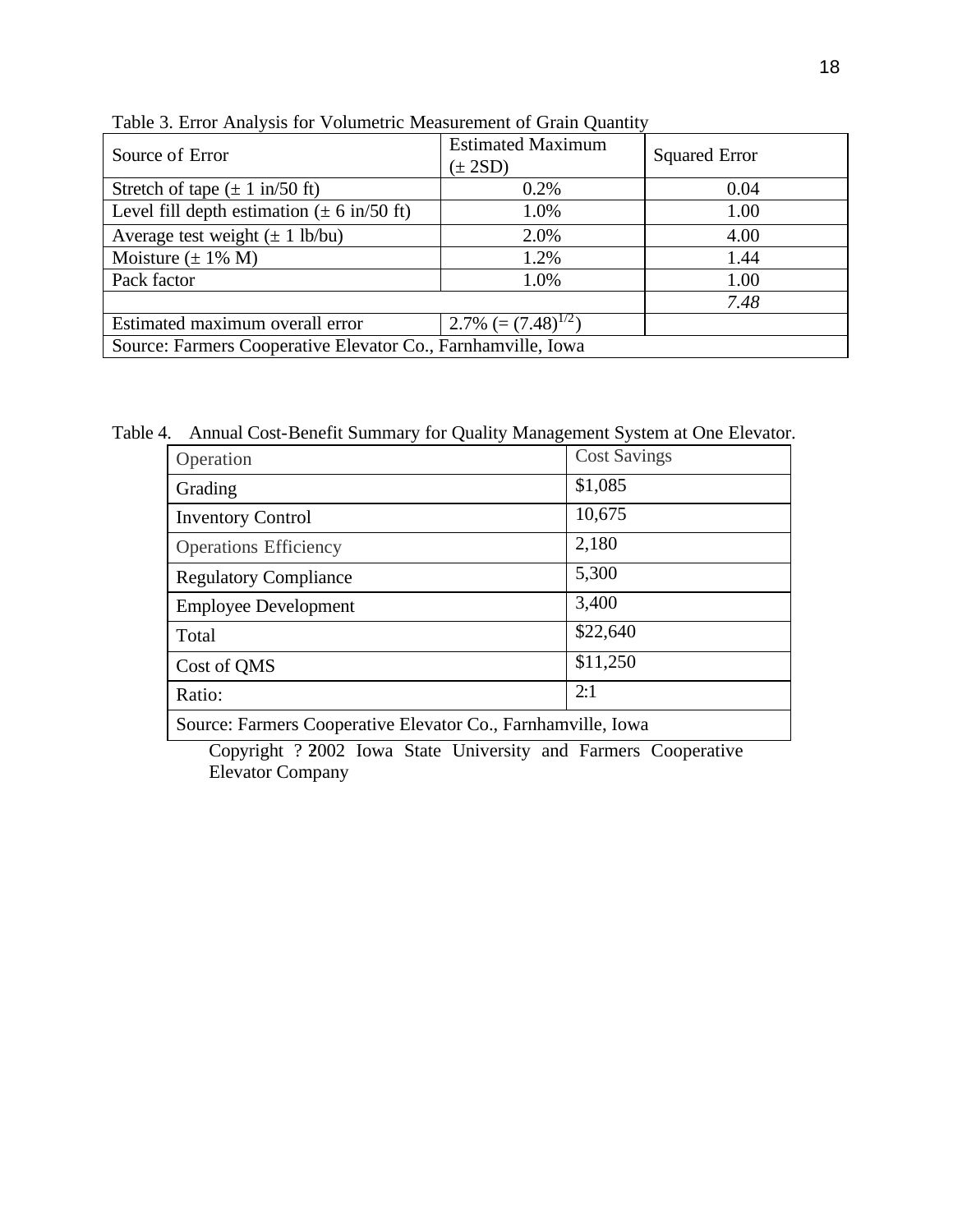| Source of Error                                                | <b>Estimated Maximum</b><br>$(\pm 2SD)$ | <b>Squared Error</b> |  |  |
|----------------------------------------------------------------|-----------------------------------------|----------------------|--|--|
| Stretch of tape $(\pm 1 \text{ in}/50 \text{ ft})$             | 0.2%                                    | 0.04                 |  |  |
| Level fill depth estimation $(\pm 6 \text{ in}/50 \text{ ft})$ | 1.0%                                    | 1.00                 |  |  |
| Average test weight $(\pm 1 \text{ lb/bu})$                    | 2.0%                                    | 4.00                 |  |  |
| Moisture $(\pm 1\% M)$                                         | 1.2%                                    | 1.44                 |  |  |
| Pack factor                                                    | 1.0%                                    | 1.00                 |  |  |
|                                                                |                                         | 7.48                 |  |  |
| Estimated maximum overall error                                | 2.7% $(=(7.48)^{1/2})$                  |                      |  |  |
| Source: Farmers Cooperative Elevator Co., Farnhamville, Iowa   |                                         |                      |  |  |

Table 3. Error Analysis for Volumetric Measurement of Grain Quantity

Table 4. Annual Cost-Benefit Summary for Quality Management System at One Elevator.

| Operation                                                  | <b>Cost Savings</b> |
|------------------------------------------------------------|---------------------|
| Grading                                                    | \$1,085             |
| <b>Inventory Control</b>                                   | 10,675              |
| <b>Operations Efficiency</b>                               | 2,180               |
| <b>Regulatory Compliance</b>                               | 5,300               |
| <b>Employee Development</b>                                | 3,400               |
| Total                                                      | \$22,640            |
| Cost of QMS                                                | \$11,250            |
| Ratio:                                                     | 2:1                 |
| Source: Farmers Cooperative Flevator Co. Farnhamyille Jowa |                     |

Source: Farmers Cooperative Elevator Co., Farnhamville, Iowa

Copyright ? 2002 Iowa State University and Farmers Cooperative<br>Elevator Company Elevator Company